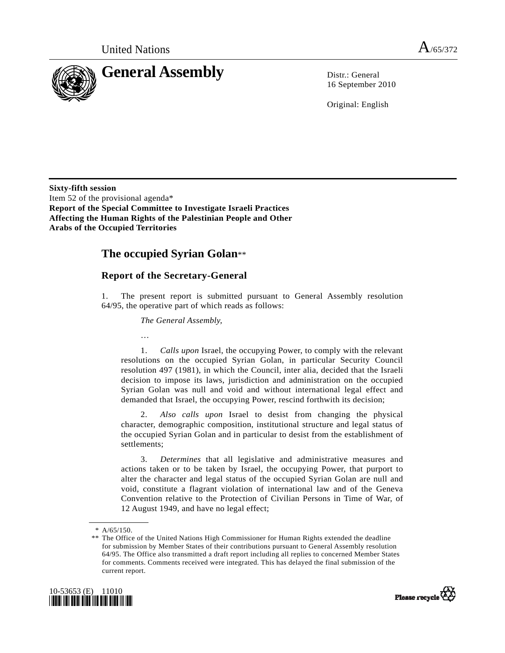

16 September 2010

Original: English

**Sixty-fifth session**  Item 52 of the provisional agenda\* **Report of the Special Committee to Investigate Israeli Practices Affecting the Human Rights of the Palestinian People and Other Arabs of the Occupied Territories** 

## **The occupied Syrian Golan**\*\*

## **Report of the Secretary-General**

1. The present report is submitted pursuant to General Assembly resolution 64/95, the operative part of which reads as follows:

*The General Assembly,*

…

 1. *Calls upon* Israel, the occupying Power, to comply with the relevant resolutions on the occupied Syrian Golan, in particular Security Council resolution 497 (1981), in which the Council, inter alia, decided that the Israeli decision to impose its laws, jurisdiction and administration on the occupied Syrian Golan was null and void and without international legal effect and demanded that Israel, the occupying Power, rescind forthwith its decision;

 2. *Also calls upon* Israel to desist from changing the physical character, demographic composition, institutional structure and legal status of the occupied Syrian Golan and in particular to desist from the establishment of settlements;

 3. *Determines* that all legislative and administrative measures and actions taken or to be taken by Israel, the occupying Power, that purport to alter the character and legal status of the occupied Syrian Golan are null and void, constitute a flagrant violation of international law and of the Geneva Convention relative to the Protection of Civilian Persons in Time of War, of 12 August 1949, and have no legal effect;

 <sup>\*\*</sup> The Office of the United Nations High Commissioner for Human Rights extended the deadline for submission by Member States of their contributions pursuant to General Assembly resolution 64/95. The Office also transmitted a draft report including all replies to concerned Member States for comments. Comments received were integrated. This has delayed the final submission of the current report.





 <sup>\*</sup> A/65/150.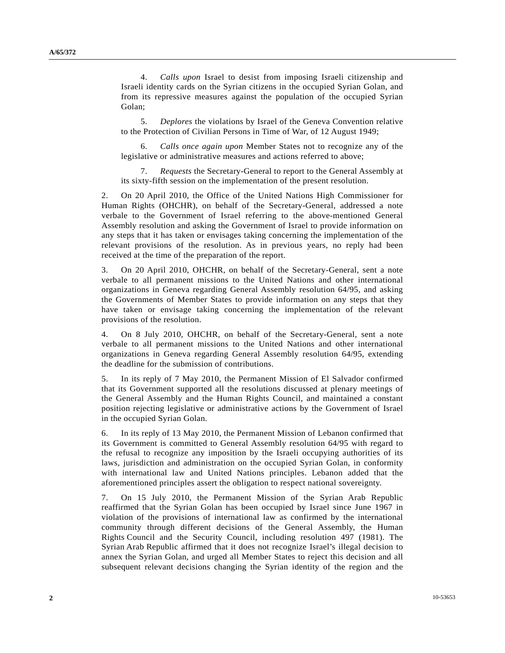4. *Calls upon* Israel to desist from imposing Israeli citizenship and Israeli identity cards on the Syrian citizens in the occupied Syrian Golan, and from its repressive measures against the population of the occupied Syrian Golan;

 5. *Deplores* the violations by Israel of the Geneva Convention relative to the Protection of Civilian Persons in Time of War, of 12 August 1949;

 6. *Calls once again upon* Member States not to recognize any of the legislative or administrative measures and actions referred to above;

 7. *Requests* the Secretary-General to report to the General Assembly at its sixty-fifth session on the implementation of the present resolution.

2. On 20 April 2010, the Office of the United Nations High Commissioner for Human Rights (OHCHR), on behalf of the Secretary-General, addressed a note verbale to the Government of Israel referring to the above-mentioned General Assembly resolution and asking the Government of Israel to provide information on any steps that it has taken or envisages taking concerning the implementation of the relevant provisions of the resolution. As in previous years, no reply had been received at the time of the preparation of the report.

3. On 20 April 2010, OHCHR, on behalf of the Secretary-General, sent a note verbale to all permanent missions to the United Nations and other international organizations in Geneva regarding General Assembly resolution 64/95, and asking the Governments of Member States to provide information on any steps that they have taken or envisage taking concerning the implementation of the relevant provisions of the resolution.

4. On 8 July 2010, OHCHR, on behalf of the Secretary-General, sent a note verbale to all permanent missions to the United Nations and other international organizations in Geneva regarding General Assembly resolution 64/95, extending the deadline for the submission of contributions.

5. In its reply of 7 May 2010, the Permanent Mission of El Salvador confirmed that its Government supported all the resolutions discussed at plenary meetings of the General Assembly and the Human Rights Council, and maintained a constant position rejecting legislative or administrative actions by the Government of Israel in the occupied Syrian Golan.

6. In its reply of 13 May 2010, the Permanent Mission of Lebanon confirmed that its Government is committed to General Assembly resolution 64/95 with regard to the refusal to recognize any imposition by the Israeli occupying authorities of its laws, jurisdiction and administration on the occupied Syrian Golan, in conformity with international law and United Nations principles. Lebanon added that the aforementioned principles assert the obligation to respect national sovereignty.

7. On 15 July 2010, the Permanent Mission of the Syrian Arab Republic reaffirmed that the Syrian Golan has been occupied by Israel since June 1967 in violation of the provisions of international law as confirmed by the international community through different decisions of the General Assembly, the Human Rights Council and the Security Council, including resolution 497 (1981). The Syrian Arab Republic affirmed that it does not recognize Israel's illegal decision to annex the Syrian Golan, and urged all Member States to reject this decision and all subsequent relevant decisions changing the Syrian identity of the region and the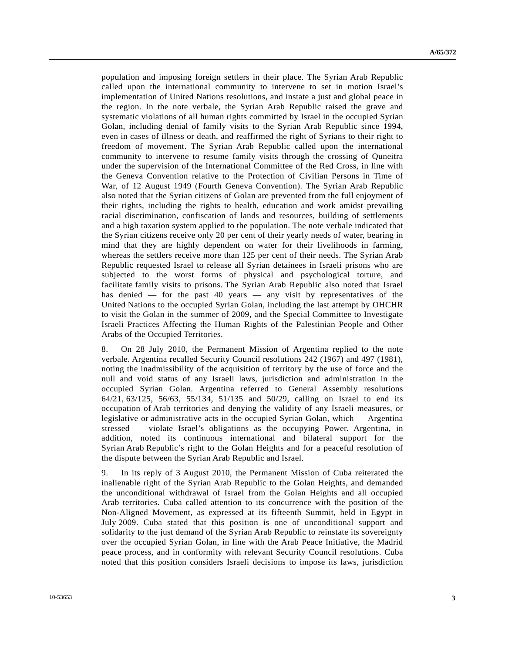population and imposing foreign settlers in their place. The Syrian Arab Republic called upon the international community to intervene to set in motion Israel's implementation of United Nations resolutions, and instate a just and global peace in the region. In the note verbale, the Syrian Arab Republic raised the grave and systematic violations of all human rights committed by Israel in the occupied Syrian Golan, including denial of family visits to the Syrian Arab Republic since 1994, even in cases of illness or death, and reaffirmed the right of Syrians to their right to freedom of movement. The Syrian Arab Republic called upon the international community to intervene to resume family visits through the crossing of Quneitra under the supervision of the International Committee of the Red Cross, in line with the Geneva Convention relative to the Protection of Civilian Persons in Time of War, of 12 August 1949 (Fourth Geneva Convention). The Syrian Arab Republic also noted that the Syrian citizens of Golan are prevented from the full enjoyment of their rights, including the rights to health, education and work amidst prevailing racial discrimination, confiscation of lands and resources, building of settlements and a high taxation system applied to the population. The note verbale indicated that the Syrian citizens receive only 20 per cent of their yearly needs of water, bearing in mind that they are highly dependent on water for their livelihoods in farming, whereas the settlers receive more than 125 per cent of their needs. The Syrian Arab Republic requested Israel to release all Syrian detainees in Israeli prisons who are subjected to the worst forms of physical and psychological torture, and facilitate family visits to prisons. The Syrian Arab Republic also noted that Israel has denied — for the past 40 years — any visit by representatives of the United Nations to the occupied Syrian Golan, including the last attempt by OHCHR to visit the Golan in the summer of 2009, and the Special Committee to Investigate Israeli Practices Affecting the Human Rights of the Palestinian People and Other Arabs of the Occupied Territories.

8. On 28 July 2010, the Permanent Mission of Argentina replied to the note verbale. Argentina recalled Security Council resolutions 242 (1967) and 497 (1981), noting the inadmissibility of the acquisition of territory by the use of force and the null and void status of any Israeli laws, jurisdiction and administration in the occupied Syrian Golan. Argentina referred to General Assembly resolutions 64/21, 63/125, 56/63, 55/134, 51/135 and 50/29, calling on Israel to end its occupation of Arab territories and denying the validity of any Israeli measures, or legislative or administrative acts in the occupied Syrian Golan, which — Argentina stressed — violate Israel's obligations as the occupying Power. Argentina, in addition, noted its continuous international and bilateral support for the Syrian Arab Republic's right to the Golan Heights and for a peaceful resolution of the dispute between the Syrian Arab Republic and Israel.

9. In its reply of 3 August 2010, the Permanent Mission of Cuba reiterated the inalienable right of the Syrian Arab Republic to the Golan Heights, and demanded the unconditional withdrawal of Israel from the Golan Heights and all occupied Arab territories. Cuba called attention to its concurrence with the position of the Non-Aligned Movement, as expressed at its fifteenth Summit, held in Egypt in July 2009. Cuba stated that this position is one of unconditional support and solidarity to the just demand of the Syrian Arab Republic to reinstate its sovereignty over the occupied Syrian Golan, in line with the Arab Peace Initiative, the Madrid peace process, and in conformity with relevant Security Council resolutions. Cuba noted that this position considers Israeli decisions to impose its laws, jurisdiction